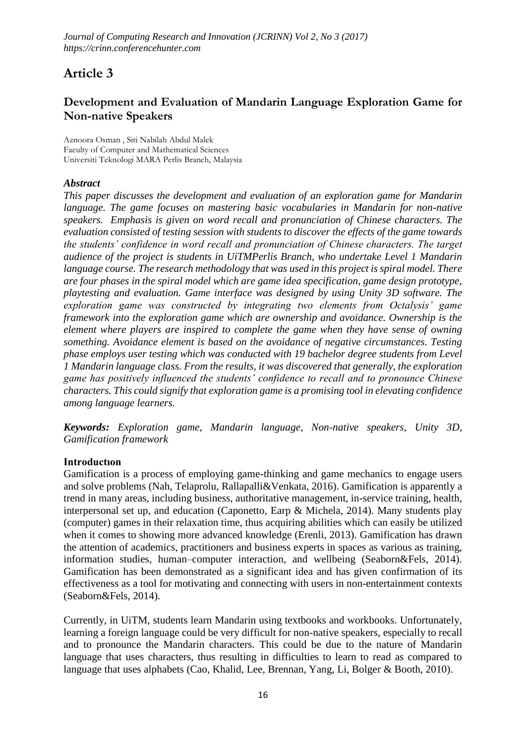*Journal of Computing Research and Innovation (JCRINN) Vol 2, No 3 (2017) https://crinn.conferencehunter.com*

# **Article 3**

## **Development and Evaluation of Mandarin Language Exploration Game for Non-native Speakers**

Aznoora Osman , Siti Nabilah Abdul Malek Faculty of Computer and Mathematical Sciences Universiti Teknologi MARA Perlis Branch, Malaysia

## *Abstract*

*This paper discusses the development and evaluation of an exploration game for Mandarin language. The game focuses on mastering basic vocabularies in Mandarin for non-native speakers. Emphasis is given on word recall and pronunciation of Chinese characters. The evaluation consisted of testing session with students to discover the effects of the game towards the students' confidence in word recall and pronunciation of Chinese characters. The target audience of the project is students in UiTMPerlis Branch, who undertake Level 1 Mandarin language course. The research methodology that was used in this project is spiral model. There are four phases in the spiral model which are game idea specification, game design prototype, playtesting and evaluation. Game interface was designed by using Unity 3D software. The exploration game was constructed by integrating two elements from Octalysis' game framework into the exploration game which are ownership and avoidance. Ownership is the element where players are inspired to complete the game when they have sense of owning something. Avoidance element is based on the avoidance of negative circumstances. Testing phase employs user testing which was conducted with 19 bachelor degree students from Level 1 Mandarin language class. From the results, it was discovered that generally, the exploration game has positively influenced the students' confidence to recall and to pronounce Chinese characters. This could signify that exploration game is a promising tool in elevating confidence among language learners.* 

*Keywords: Exploration game, Mandarin language, Non-native speakers, Unity 3D, Gamification framework*

#### **Introductıon**

Gamification is a process of employing game-thinking and game mechanics to engage users and solve problems (Nah, Telaprolu, Rallapalli&Venkata, 2016). Gamification is apparently a trend in many areas, including business, authoritative management, in-service training, health, interpersonal set up, and education (Caponetto, Earp & Michela, 2014). Many students play (computer) games in their relaxation time, thus acquiring abilities which can easily be utilized when it comes to showing more advanced knowledge (Erenli, 2013). Gamification has drawn the attention of academics, practitioners and business experts in spaces as various as training, information studies, human–computer interaction, and wellbeing (Seaborn&Fels, 2014). Gamification has been demonstrated as a significant idea and has given confirmation of its effectiveness as a tool for motivating and connecting with users in non-entertainment contexts (Seaborn&Fels, 2014).

Currently, in UiTM, students learn Mandarin using textbooks and workbooks. Unfortunately, learning a foreign language could be very difficult for non-native speakers, especially to recall and to pronounce the Mandarin characters. This could be due to the nature of Mandarin language that uses characters, thus resulting in difficulties to learn to read as compared to language that uses alphabets (Cao, Khalid, Lee, Brennan, Yang, Li, Bolger & Booth, 2010).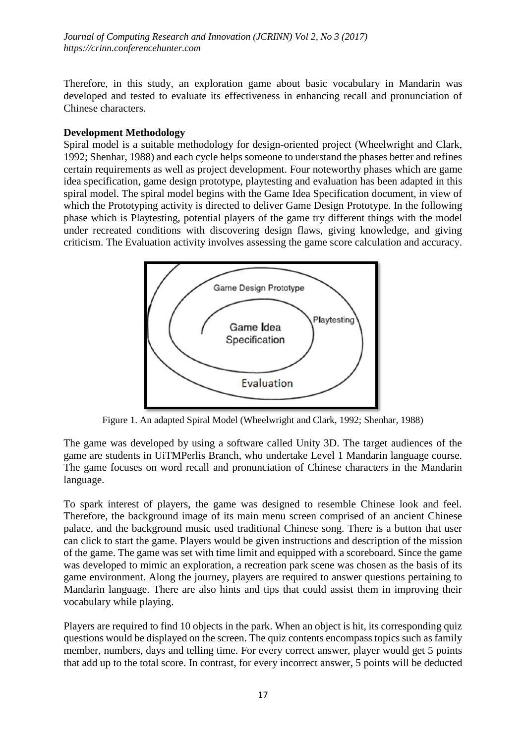*Journal of Computing Research and Innovation (JCRINN) Vol 2, No 3 (2017) https://crinn.conferencehunter.com*

Therefore, in this study, an exploration game about basic vocabulary in Mandarin was developed and tested to evaluate its effectiveness in enhancing recall and pronunciation of Chinese characters.

### **Development Methodology**

Spiral model is a suitable methodology for design-oriented project (Wheelwright and Clark, 1992; Shenhar, 1988) and each cycle helps someone to understand the phases better and refines certain requirements as well as project development. Four noteworthy phases which are game idea specification, game design prototype, playtesting and evaluation has been adapted in this spiral model. The spiral model begins with the Game Idea Specification document, in view of which the Prototyping activity is directed to deliver Game Design Prototype. In the following phase which is Playtesting, potential players of the game try different things with the model under recreated conditions with discovering design flaws, giving knowledge, and giving criticism. The Evaluation activity involves assessing the game score calculation and accuracy.



Figure 1. An adapted Spiral Model (Wheelwright and Clark, 1992; Shenhar, 1988)

The game was developed by using a software called Unity 3D. The target audiences of the game are students in UiTMPerlis Branch, who undertake Level 1 Mandarin language course. The game focuses on word recall and pronunciation of Chinese characters in the Mandarin language.

To spark interest of players, the game was designed to resemble Chinese look and feel. Therefore, the background image of its main menu screen comprised of an ancient Chinese palace, and the background music used traditional Chinese song. There is a button that user can click to start the game. Players would be given instructions and description of the mission of the game. The game was set with time limit and equipped with a scoreboard. Since the game was developed to mimic an exploration, a recreation park scene was chosen as the basis of its game environment. Along the journey, players are required to answer questions pertaining to Mandarin language. There are also hints and tips that could assist them in improving their vocabulary while playing.

Players are required to find 10 objects in the park. When an object is hit, its corresponding quiz questions would be displayed on the screen. The quiz contents encompass topics such as family member, numbers, days and telling time. For every correct answer, player would get 5 points that add up to the total score. In contrast, for every incorrect answer, 5 points will be deducted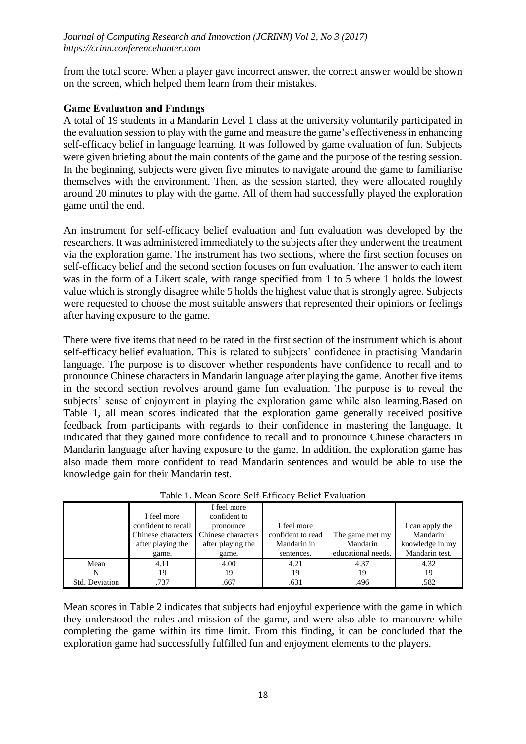from the total score. When a player gave incorrect answer, the correct answer would be shown on the screen, which helped them learn from their mistakes.

### **Game Evaluatıon and Fındıngs**

A total of 19 students in a Mandarin Level 1 class at the university voluntarily participated in the evaluation session to play with the game and measure the game's effectiveness in enhancing self-efficacy belief in language learning. It was followed by game evaluation of fun. Subjects were given briefing about the main contents of the game and the purpose of the testing session. In the beginning, subjects were given five minutes to navigate around the game to familiarise themselves with the environment. Then, as the session started, they were allocated roughly around 20 minutes to play with the game. All of them had successfully played the exploration game until the end.

An instrument for self-efficacy belief evaluation and fun evaluation was developed by the researchers. It was administered immediately to the subjects after they underwent the treatment via the exploration game. The instrument has two sections, where the first section focuses on self-efficacy belief and the second section focuses on fun evaluation. The answer to each item was in the form of a Likert scale, with range specified from 1 to 5 where 1 holds the lowest value which is strongly disagree while 5 holds the highest value that is strongly agree. Subjects were requested to choose the most suitable answers that represented their opinions or feelings after having exposure to the game.

There were five items that need to be rated in the first section of the instrument which is about self-efficacy belief evaluation. This is related to subjects' confidence in practising Mandarin language. The purpose is to discover whether respondents have confidence to recall and to pronounce Chinese characters in Mandarin language after playing the game. Another five items in the second section revolves around game fun evaluation. The purpose is to reveal the subjects' sense of enjoyment in playing the exploration game while also learning.Based on Table 1, all mean scores indicated that the exploration game generally received positive feedback from participants with regards to their confidence in mastering the language. It indicated that they gained more confidence to recall and to pronounce Chinese characters in Mandarin language after having exposure to the game. In addition, the exploration game has also made them more confident to read Mandarin sentences and would be able to use the knowledge gain for their Mandarin test.

| Tuble 1. Mean Beole Ben Emeae, Benef Evaluation |                     |                    |                   |                    |                 |  |  |  |
|-------------------------------------------------|---------------------|--------------------|-------------------|--------------------|-----------------|--|--|--|
|                                                 |                     | I feel more        |                   |                    |                 |  |  |  |
|                                                 | I feel more         | confident to       |                   |                    |                 |  |  |  |
|                                                 | confident to recall | pronounce          | I feel more       |                    | I can apply the |  |  |  |
|                                                 | Chinese characters  | Chinese characters | confident to read | The game met my    | Mandarin        |  |  |  |
|                                                 | after playing the   | after playing the  | Mandarin in       | Mandarin           | knowledge in my |  |  |  |
|                                                 | game.               | game.              | sentences.        | educational needs. | Mandarin test.  |  |  |  |
| Mean                                            | 4.11                | 4.00               | 4.21              | 4.37               | 4.32            |  |  |  |
|                                                 | 19                  | 19                 | 19                | 19                 | 19              |  |  |  |
| Std. Deviation                                  | .737                | .667               | .631              | .496               | .582            |  |  |  |

|  | Table 1. Mean Score Self-Efficacy Belief Evaluation |
|--|-----------------------------------------------------|

Mean scores in Table 2 indicates that subjects had enjoyful experience with the game in which they understood the rules and mission of the game, and were also able to manouvre while completing the game within its time limit. From this finding, it can be concluded that the exploration game had successfully fulfilled fun and enjoyment elements to the players.